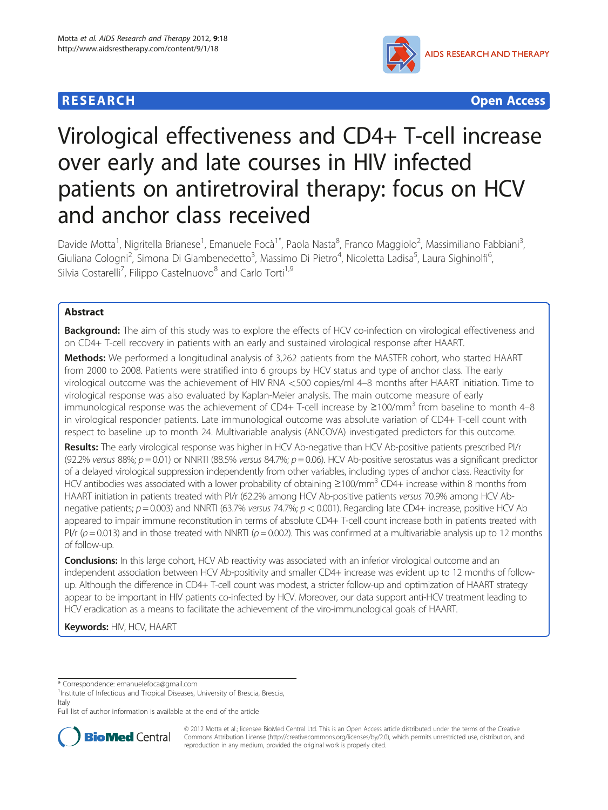# **RESEARCH CHEAR CHEAR CHEAR CHEAR CHEAR CHEAR CHEAR CHEAR CHEAR CHEAR CHEAR CHEAR CHEAR CHEAR CHEAR CHEAR CHEAR**



# Virological effectiveness and CD4+ T-cell increase over early and late courses in HIV infected patients on antiretroviral therapy: focus on HCV and anchor class received

Davide Motta<sup>1</sup>, Nigritella Brianese<sup>1</sup>, Emanuele Focà<sup>1\*</sup>, Paola Nasta<sup>8</sup>, Franco Maggiolo<sup>2</sup>, Massimiliano Fabbiani<sup>3</sup> , Giuliana Cologni<sup>2</sup>, Simona Di Giambenedetto<sup>3</sup>, Massimo Di Pietro<sup>4</sup>, Nicoletta Ladisa<sup>5</sup>, Laura Sighinolfi<sup>6</sup> , Silvia Costarelli<sup>7</sup>, Filippo Castelnuovo<sup>8</sup> and Carlo Torti<sup>1,9</sup>

# Abstract

**Background:** The aim of this study was to explore the effects of HCV co-infection on virological effectiveness and on CD4+ T-cell recovery in patients with an early and sustained virological response after HAART.

Methods: We performed a longitudinal analysis of 3,262 patients from the MASTER cohort, who started HAART from 2000 to 2008. Patients were stratified into 6 groups by HCV status and type of anchor class. The early virological outcome was the achievement of HIV RNA <500 copies/ml 4–8 months after HAART initiation. Time to virological response was also evaluated by Kaplan-Meier analysis. The main outcome measure of early immunological response was the achievement of CD4+ T-cell increase by  $\geq$ 100/mm<sup>3</sup> from baseline to month 4–8 in virological responder patients. Late immunological outcome was absolute variation of CD4+ T-cell count with respect to baseline up to month 24. Multivariable analysis (ANCOVA) investigated predictors for this outcome.

Results: The early virological response was higher in HCV Ab-negative than HCV Ab-positive patients prescribed PI/r (92.2% versus 88%;  $p = 0.01$ ) or NNRTI (88.5% versus 84.7%;  $p = 0.06$ ). HCV Ab-positive serostatus was a significant predictor of a delayed virological suppression independently from other variables, including types of anchor class. Reactivity for HCV antibodies was associated with a lower probability of obtaining  $\geq 100/\text{mm}^3$  CD4+ increase within 8 months from HAART initiation in patients treated with PI/r (62.2% among HCV Ab-positive patients versus 70.9% among HCV Abnegative patients;  $p = 0.003$ ) and NNRTI (63.7% versus 74.7%;  $p < 0.001$ ). Regarding late CD4+ increase, positive HCV Ab appeared to impair immune reconstitution in terms of absolute CD4+ T-cell count increase both in patients treated with PI/r ( $p = 0.013$ ) and in those treated with NNRTI ( $p = 0.002$ ). This was confirmed at a multivariable analysis up to 12 months of follow-up.

Conclusions: In this large cohort, HCV Ab reactivity was associated with an inferior virological outcome and an independent association between HCV Ab-positivity and smaller CD4+ increase was evident up to 12 months of followup. Although the difference in CD4+ T-cell count was modest, a stricter follow-up and optimization of HAART strategy appear to be important in HIV patients co-infected by HCV. Moreover, our data support anti-HCV treatment leading to HCV eradication as a means to facilitate the achievement of the viro-immunological goals of HAART.

Keywords: HIV, HCV, HAART

\* Correspondence: [emanuelefoca@gmail.com](mailto:emanuelefoca@gmail.com) <sup>1</sup>

<sup>1</sup>Institute of Infectious and Tropical Diseases, University of Brescia, Brescia, Italy

Full list of author information is available at the end of the article



© 2012 Motta et al.; licensee BioMed Central Ltd. This is an Open Access article distributed under the terms of the Creative Commons Attribution License [\(http://creativecommons.org/licenses/by/2.0\)](http://creativecommons.org/licenses/by/2.0), which permits unrestricted use, distribution, and reproduction in any medium, provided the original work is properly cited.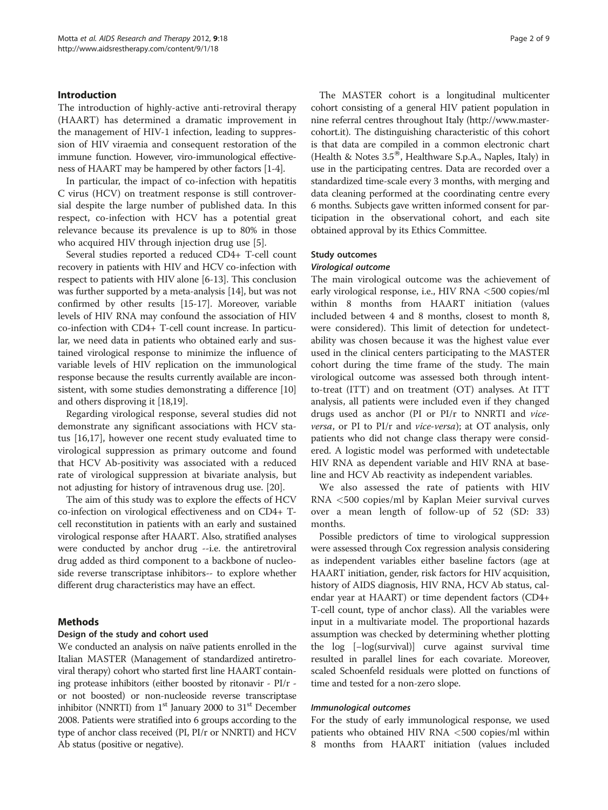# Introduction

The introduction of highly-active anti-retroviral therapy (HAART) has determined a dramatic improvement in the management of HIV-1 infection, leading to suppression of HIV viraemia and consequent restoration of the immune function. However, viro-immunological effectiveness of HAART may be hampered by other factors [[1](#page-7-0)-[4](#page-7-0)].

In particular, the impact of co-infection with hepatitis C virus (HCV) on treatment response is still controversial despite the large number of published data. In this respect, co-infection with HCV has a potential great relevance because its prevalence is up to 80% in those who acquired HIV through injection drug use [\[5\]](#page-7-0).

Several studies reported a reduced CD4+ T-cell count recovery in patients with HIV and HCV co-infection with respect to patients with HIV alone [[6-13\]](#page-7-0). This conclusion was further supported by a meta-analysis [\[14\]](#page-7-0), but was not confirmed by other results [[15-17\]](#page-7-0). Moreover, variable levels of HIV RNA may confound the association of HIV co-infection with CD4+ T-cell count increase. In particular, we need data in patients who obtained early and sustained virological response to minimize the influence of variable levels of HIV replication on the immunological response because the results currently available are inconsistent, with some studies demonstrating a difference [[10](#page-7-0)] and others disproving it [\[18,19\]](#page-7-0).

Regarding virological response, several studies did not demonstrate any significant associations with HCV status [[16,17\]](#page-7-0), however one recent study evaluated time to virological suppression as primary outcome and found that HCV Ab-positivity was associated with a reduced rate of virological suppression at bivariate analysis, but not adjusting for history of intravenous drug use. [\[20\]](#page-8-0).

The aim of this study was to explore the effects of HCV co-infection on virological effectiveness and on CD4+ Tcell reconstitution in patients with an early and sustained virological response after HAART. Also, stratified analyses were conducted by anchor drug --i.e. the antiretroviral drug added as third component to a backbone of nucleoside reverse transcriptase inhibitors-- to explore whether different drug characteristics may have an effect.

# Methods

# Design of the study and cohort used

We conducted an analysis on naïve patients enrolled in the Italian MASTER (Management of standardized antiretroviral therapy) cohort who started first line HAART containing protease inhibitors (either boosted by ritonavir - PI/r or not boosted) or non-nucleoside reverse transcriptase inhibitor (NNRTI) from  $1<sup>st</sup>$  January 2000 to  $31<sup>st</sup>$  December 2008. Patients were stratified into 6 groups according to the type of anchor class received (PI, PI/r or NNRTI) and HCV Ab status (positive or negative).

The MASTER cohort is a longitudinal multicenter cohort consisting of a general HIV patient population in nine referral centres throughout Italy [\(http://www.master](http://www.mastercohort.it)[cohort.it\)](http://www.mastercohort.it). The distinguishing characteristic of this cohort is that data are compiled in a common electronic chart (Health & Notes  $3.5^{\circ}$ ), Healthware S.p.A., Naples, Italy) in use in the participating centres. Data are recorded over a standardized time-scale every 3 months, with merging and data cleaning performed at the coordinating centre every 6 months. Subjects gave written informed consent for participation in the observational cohort, and each site obtained approval by its Ethics Committee.

### Study outcomes

The main virological outcome was the achievement of early virological response, i.e., HIV RNA <500 copies/ml within 8 months from HAART initiation (values included between 4 and 8 months, closest to month 8, were considered). This limit of detection for undetectability was chosen because it was the highest value ever used in the clinical centers participating to the MASTER cohort during the time frame of the study. The main virological outcome was assessed both through intentto-treat (ITT) and on treatment (OT) analyses. At ITT analysis, all patients were included even if they changed drugs used as anchor (PI or PI/r to NNRTI and viceversa, or PI to PI/r and vice-versa); at OT analysis, only patients who did not change class therapy were considered. A logistic model was performed with undetectable HIV RNA as dependent variable and HIV RNA at baseline and HCV Ab reactivity as independent variables.

We also assessed the rate of patients with HIV RNA <500 copies/ml by Kaplan Meier survival curves over a mean length of follow-up of 52 (SD: 33) months.

Possible predictors of time to virological suppression were assessed through Cox regression analysis considering as independent variables either baseline factors (age at HAART initiation, gender, risk factors for HIV acquisition, history of AIDS diagnosis, HIV RNA, HCV Ab status, calendar year at HAART) or time dependent factors (CD4+ T-cell count, type of anchor class). All the variables were input in a multivariate model. The proportional hazards assumption was checked by determining whether plotting the log [−log(survival)] curve against survival time resulted in parallel lines for each covariate. Moreover, scaled Schoenfeld residuals were plotted on functions of time and tested for a non-zero slope.

For the study of early immunological response, we used patients who obtained HIV RNA <500 copies/ml within 8 months from HAART initiation (values included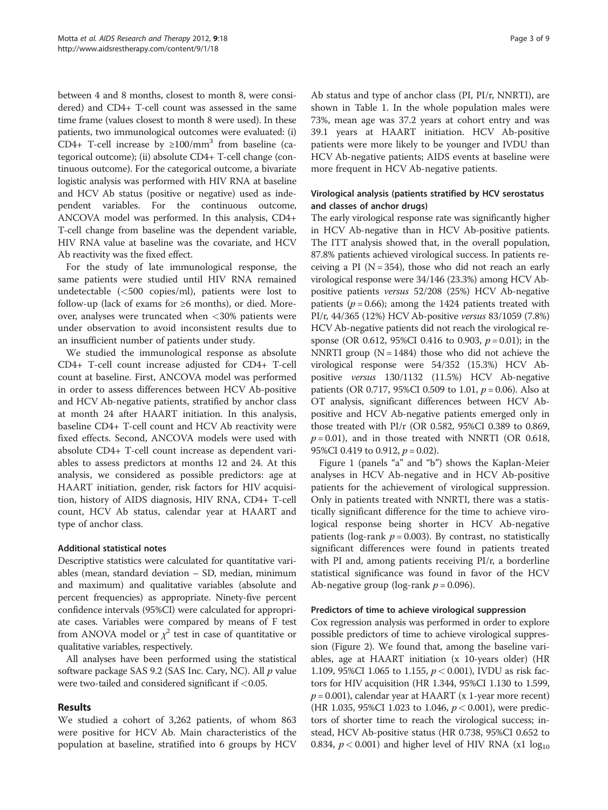between 4 and 8 months, closest to month 8, were considered) and CD4+ T-cell count was assessed in the same time frame (values closest to month 8 were used). In these patients, two immunological outcomes were evaluated: (i) CD4+ T-cell increase by  $\geq 100/mm^3$  from baseline (categorical outcome); (ii) absolute CD4+ T-cell change (continuous outcome). For the categorical outcome, a bivariate logistic analysis was performed with HIV RNA at baseline and HCV Ab status (positive or negative) used as independent variables. For the continuous outcome, ANCOVA model was performed. In this analysis, CD4+ T-cell change from baseline was the dependent variable, HIV RNA value at baseline was the covariate, and HCV Ab reactivity was the fixed effect.

For the study of late immunological response, the same patients were studied until HIV RNA remained undetectable (<500 copies/ml), patients were lost to follow-up (lack of exams for  $\geq 6$  months), or died. Moreover, analyses were truncated when <30% patients were under observation to avoid inconsistent results due to an insufficient number of patients under study.

We studied the immunological response as absolute CD4+ T-cell count increase adjusted for CD4+ T-cell count at baseline. First, ANCOVA model was performed in order to assess differences between HCV Ab-positive and HCV Ab-negative patients, stratified by anchor class at month 24 after HAART initiation. In this analysis, baseline CD4+ T-cell count and HCV Ab reactivity were fixed effects. Second, ANCOVA models were used with absolute CD4+ T-cell count increase as dependent variables to assess predictors at months 12 and 24. At this analysis, we considered as possible predictors: age at HAART initiation, gender, risk factors for HIV acquisition, history of AIDS diagnosis, HIV RNA, CD4+ T-cell count, HCV Ab status, calendar year at HAART and type of anchor class.

# Additional statistical notes

Descriptive statistics were calculated for quantitative variables (mean, standard deviation – SD, median, minimum and maximum) and qualitative variables (absolute and percent frequencies) as appropriate. Ninety-five percent confidence intervals (95%CI) were calculated for appropriate cases. Variables were compared by means of F test from ANOVA model or  $\chi^2$  test in case of quantitative or qualitative variables, respectively.

All analyses have been performed using the statistical software package SAS 9.2 (SAS Inc. Cary, NC). All  $p$  value were two-tailed and considered significant if  $<$ 0.05.

# Results

We studied a cohort of 3,262 patients, of whom 863 were positive for HCV Ab. Main characteristics of the population at baseline, stratified into 6 groups by HCV

Ab status and type of anchor class (PI, PI/r, NNRTI), are shown in Table [1.](#page-3-0) In the whole population males were 73%, mean age was 37.2 years at cohort entry and was 39.1 years at HAART initiation. HCV Ab-positive patients were more likely to be younger and IVDU than HCV Ab-negative patients; AIDS events at baseline were more frequent in HCV Ab-negative patients.

# Virological analysis (patients stratified by HCV serostatus and classes of anchor drugs)

The early virological response rate was significantly higher in HCV Ab-negative than in HCV Ab-positive patients. The ITT analysis showed that, in the overall population, 87.8% patients achieved virological success. In patients receiving a PI ( $N = 354$ ), those who did not reach an early virological response were 34/146 (23.3%) among HCV Abpositive patients versus 52/208 (25%) HCV Ab-negative patients ( $p = 0.66$ ); among the 1424 patients treated with PI/r, 44/365 (12%) HCV Ab-positive versus 83/1059 (7.8%) HCV Ab-negative patients did not reach the virological response (OR 0.612, 95%CI 0.416 to 0.903,  $p = 0.01$ ); in the NNRTI group  $(N = 1484)$  those who did not achieve the virological response were 54/352 (15.3%) HCV Abpositive versus 130/1132 (11.5%) HCV Ab-negative patients (OR 0.717, 95%CI 0.509 to 1.01,  $p = 0.06$ ). Also at OT analysis, significant differences between HCV Abpositive and HCV Ab-negative patients emerged only in those treated with PI/r (OR 0.582, 95%CI 0.389 to 0.869,  $p = 0.01$ ), and in those treated with NNRTI (OR 0.618, 95%CI 0.419 to 0.912,  $p = 0.02$ ).

Figure [1](#page-4-0) (panels "a" and "b") shows the Kaplan-Meier analyses in HCV Ab-negative and in HCV Ab-positive patients for the achievement of virological suppression. Only in patients treated with NNRTI, there was a statistically significant difference for the time to achieve virological response being shorter in HCV Ab-negative patients (log-rank  $p = 0.003$ ). By contrast, no statistically significant differences were found in patients treated with PI and, among patients receiving PI/r, a borderline statistical significance was found in favor of the HCV Ab-negative group (log-rank  $p = 0.096$ ).

# Predictors of time to achieve virological suppression

Cox regression analysis was performed in order to explore possible predictors of time to achieve virological suppression (Figure [2\)](#page-4-0). We found that, among the baseline variables, age at HAART initiation (x 10-years older) (HR 1.109, 95%CI 1.065 to 1.155,  $p < 0.001$ ), IVDU as risk factors for HIV acquisition (HR 1.344, 95%CI 1.130 to 1.599,  $p = 0.001$ ), calendar year at HAART (x 1-year more recent) (HR 1.035, 95%CI 1.023 to 1.046,  $p < 0.001$ ), were predictors of shorter time to reach the virological success; instead, HCV Ab-positive status (HR 0.738, 95%CI 0.652 to 0.834,  $p < 0.001$ ) and higher level of HIV RNA (x1  $log_{10}$ )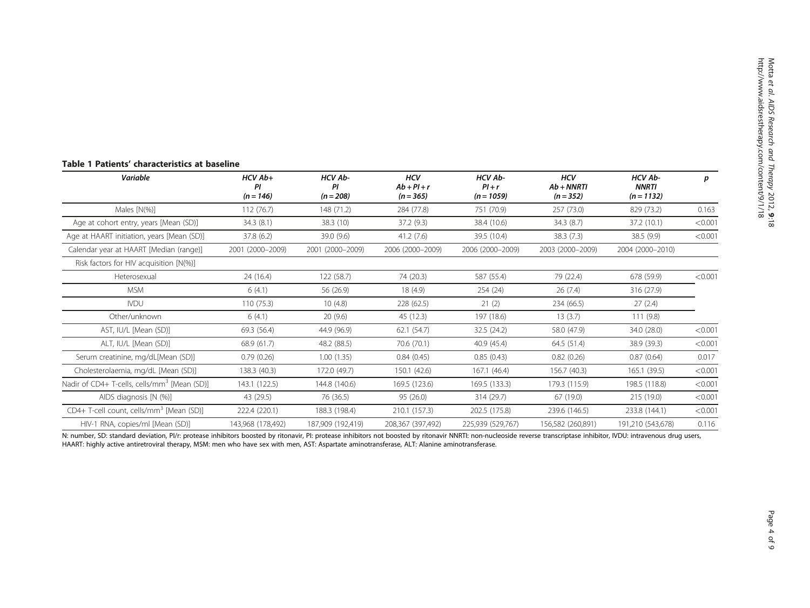# <span id="page-3-0"></span>Table 1 Patients' characteristics at baseline

| Variable                                                 | $HCV$ $Ab+$<br>PI<br>$(n = 146)$ | <b>HCV Ab-</b><br>ΡI<br>$(n = 208)$ | <b>HCV</b><br>$Ab + PI + r$<br>$(n = 365)$ | <b>HCV Ab-</b><br>$Pl+r$<br>$(n = 1059)$ | <b>HCV</b><br>$Ab + NNRTI$<br>$(n = 352)$ | <b>HCV Ab-</b><br><b>NNRTI</b><br>$(n = 1132)$ | р       |
|----------------------------------------------------------|----------------------------------|-------------------------------------|--------------------------------------------|------------------------------------------|-------------------------------------------|------------------------------------------------|---------|
| Males $[N(\%)]$                                          | 112 (76.7)                       | 148 (71.2)                          | 284 (77.8)                                 | 751 (70.9)                               | 257 (73.0)                                | 829 (73.2)                                     | 0.163   |
| Age at cohort entry, years [Mean (SD)]                   | 34.3(8.1)                        | 38.3 (10)                           | 37.2 (9.3)                                 | 38.4 (10.6)                              | 34.3(8.7)                                 | 37.2 (10.1)                                    | < 0.001 |
| Age at HAART initiation, years [Mean (SD)]               | 37.8(6.2)                        | 39.0 (9.6)                          | 41.2(7.6)                                  | 39.5 (10.4)                              | 38.3(7.3)                                 | 38.5(9.9)                                      | < 0.001 |
| Calendar year at HAART [Median (range)]                  | 2001 (2000-2009)                 | 2001 (2000-2009)                    | 2006 (2000-2009)                           | 2006 (2000-2009)                         | 2003 (2000-2009)                          | 2004 (2000-2010)                               |         |
| Risk factors for HIV acquisition [N(%)]                  |                                  |                                     |                                            |                                          |                                           |                                                |         |
| Heterosexual                                             | 24 (16.4)                        | 122 (58.7)                          | 74 (20.3)                                  | 587 (55.4)                               | 79 (22.4)                                 | 678 (59.9)                                     | < 0.001 |
| <b>MSM</b>                                               | 6(4.1)                           | 56 (26.9)                           | 18(4.9)                                    | 254 (24)                                 | 26(7.4)                                   | 316 (27.9)                                     |         |
| <b>IVDU</b>                                              | 110 (75.3)                       | 10(4.8)                             | 228 (62.5)                                 | 21(2)                                    | 234 (66.5)                                | 27(2.4)                                        |         |
| Other/unknown                                            | 6(4.1)                           | 20(9.6)                             | 45 (12.3)                                  | 197 (18.6)                               | 13(3.7)                                   | 111(9.8)                                       |         |
| AST, IU/L [Mean (SD)]                                    | 69.3 (56.4)                      | 44.9 (96.9)                         | 62.1(54.7)                                 | 32.5 (24.2)                              | 58.0 (47.9)                               | 34.0 (28.0)                                    | < 0.001 |
| ALT, IU/L [Mean (SD)]                                    | 68.9 (61.7)                      | 48.2 (88.5)                         | 70.6 (70.1)                                | 40.9 (45.4)                              | 64.5 (51.4)                               | 38.9 (39.3)                                    | < 0.001 |
| Serum creatinine, mg/dL[Mean (SD)]                       | 0.79(0.26)                       | 1.00(1.35)                          | 0.84(0.45)                                 | 0.85(0.43)                               | 0.82(0.26)                                | 0.87(0.64)                                     | 0.017   |
| Cholesterolaemia, mg/dL [Mean (SD)]                      | 138.3 (40.3)                     | 172.0 (49.7)                        | 150.1 (42.6)                               | 167.1 (46.4)                             | 156.7 (40.3)                              | 165.1 (39.5)                                   | < 0.001 |
| Nadir of CD4+ T-cells, cells/mm <sup>3</sup> [Mean (SD)] | 143.1 (122.5)                    | 144.8 (140.6)                       | 169.5 (123.6)                              | 169.5 (133.3)                            | 179.3 (115.9)                             | 198.5 (118.8)                                  | < 0.001 |
| AIDS diagnosis [N (%)]                                   | 43 (29.5)                        | 76 (36.5)                           | 95(26.0)                                   | 314 (29.7)                               | 67 (19.0)                                 | 215 (19.0)                                     | < 0.001 |
| CD4+ T-cell count, cells/mm <sup>3</sup> [Mean (SD)]     | 222.4 (220.1)                    | 188.3 (198.4)                       | 210.1 (157.3)                              | 202.5 (175.8)                            | 239.6 (146.5)                             | 233.8 (144.1)                                  | < 0.001 |
| HIV-1 RNA, copies/ml [Mean (SD)]                         | 143,968 (178,492)                | 187,909 (192,419)                   | 208,367 (397,492)                          | 225,939 (529,767)                        | 156,582 (260,891)                         | 191,210 (543,678)                              | 0.116   |

N: number, SD: standard deviation, PI/r: protease inhibitors boosted by ritonavir, PI: protease inhibitors not boosted by ritonavir NNRTI: non-nucleoside reverse transcriptase inhibitor, IVDU: intravenous drug users, HAART: highly active antiretroviral therapy, MSM: men who have sex with men, AST: Aspartate aminotransferase, ALT: Alanine aminotransferase.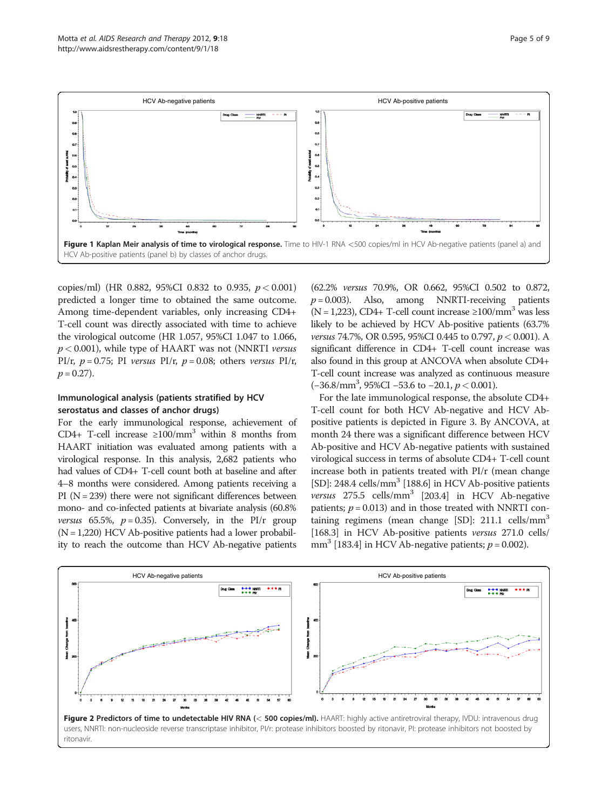<span id="page-4-0"></span>

copies/ml) (HR 0.882, 95%CI 0.832 to 0.935,  $p < 0.001$ ) predicted a longer time to obtained the same outcome. Among time-dependent variables, only increasing CD4+ T-cell count was directly associated with time to achieve the virological outcome (HR 1.057, 95%CI 1.047 to 1.066,  $p < 0.001$ ), while type of HAART was not (NNRTI versus PI/r,  $p = 0.75$ ; PI versus PI/r,  $p = 0.08$ ; others versus PI/r,  $p = 0.27$ ).

# Immunological analysis (patients stratified by HCV serostatus and classes of anchor drugs)

For the early immunological response, achievement of CD4+ T-cell increase  $\geq 100/\text{mm}^3$  within 8 months from HAART initiation was evaluated among patients with a virological response. In this analysis, 2,682 patients who had values of CD4+ T-cell count both at baseline and after 4–8 months were considered. Among patients receiving a PI  $(N = 239)$  there were not significant differences between mono- and co-infected patients at bivariate analysis (60.8% versus 65.5%,  $p = 0.35$ ). Conversely, in the PI/r group  $(N = 1,220)$  HCV Ab-positive patients had a lower probability to reach the outcome than HCV Ab-negative patients

(62.2% versus 70.9%, OR 0.662, 95%CI 0.502 to 0.872,  $p = 0.003$ ). Also, among NNRTI-receiving patients  $(N = 1,223)$ , CD4+ T-cell count increase  $\geq 100/mm^3$  was less likely to be achieved by HCV Ab-positive patients (63.7% versus 74.7%, OR 0.595, 95%CI 0.445 to 0.797,  $p < 0.001$ ). A significant difference in CD4+ T-cell count increase was also found in this group at ANCOVA when absolute CD4+ T-cell count increase was analyzed as continuous measure ( $-36.8/\text{mm}^3$ , 95%CI  $-53.6$  to  $-20.1, p < 0.001$ ).

For the late immunological response, the absolute CD4+ T-cell count for both HCV Ab-negative and HCV Abpositive patients is depicted in Figure [3](#page-5-0). By ANCOVA, at month 24 there was a significant difference between HCV Ab-positive and HCV Ab-negative patients with sustained virological success in terms of absolute CD4+ T-cell count increase both in patients treated with PI/r (mean change [SD]: 248.4 cells/mm<sup>3</sup> [188.6] in HCV Ab-positive patients versus  $275.5$  cells/mm<sup>3</sup> [203.4] in HCV Ab-negative patients;  $p = 0.013$ ) and in those treated with NNRTI containing regimens (mean change  $[SD]$ : 211.1 cells/mm<sup>3</sup> [168.3] in HCV Ab-positive patients versus 271.0 cells/ mm<sup>3</sup> [183.4] in HCV Ab-negative patients;  $p = 0.002$ ).

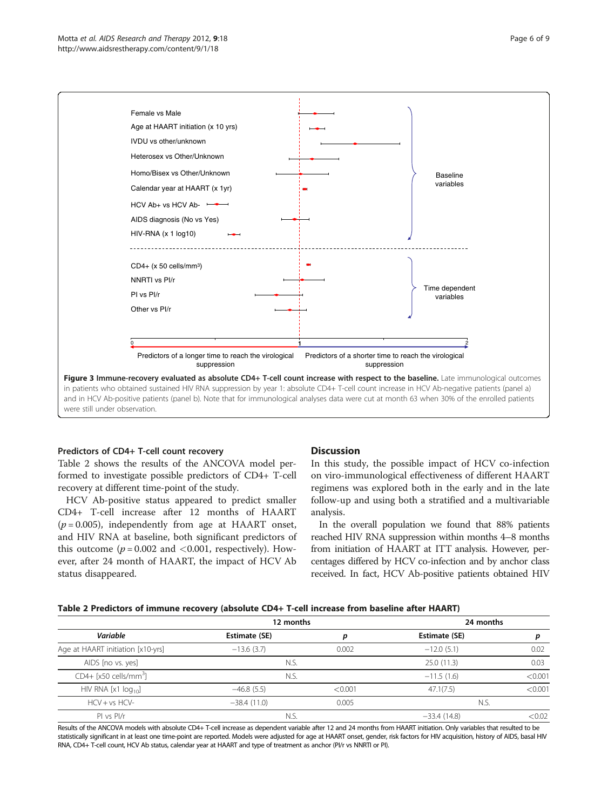<span id="page-5-0"></span>

# Predictors of CD4+ T-cell count recovery

Table 2 shows the results of the ANCOVA model performed to investigate possible predictors of CD4+ T-cell recovery at different time-point of the study.

HCV Ab-positive status appeared to predict smaller CD4+ T-cell increase after 12 months of HAART  $(p = 0.005)$ , independently from age at HAART onset, and HIV RNA at baseline, both significant predictors of this outcome ( $p = 0.002$  and  $\langle 0.001$ , respectively). However, after 24 month of HAART, the impact of HCV Ab status disappeared.

# **Discussion**

In this study, the possible impact of HCV co-infection on viro-immunological effectiveness of different HAART regimens was explored both in the early and in the late follow-up and using both a stratified and a multivariable analysis.

In the overall population we found that 88% patients reached HIV RNA suppression within months 4–8 months from initiation of HAART at ITT analysis. However, percentages differed by HCV co-infection and by anchor class received. In fact, HCV Ab-positive patients obtained HIV

# Table 2 Predictors of immune recovery (absolute CD4+ T-cell increase from baseline after HAART)

|                                     | 12 months     |         | 24 months     |         |  |
|-------------------------------------|---------------|---------|---------------|---------|--|
| Variable                            | Estimate (SE) | p       | Estimate (SE) |         |  |
| Age at HAART initiation [x10-yrs]   | $-13.6(3.7)$  | 0.002   | $-12.0(5.1)$  | 0.02    |  |
| AIDS [no vs. yes]                   | N.S.          |         | 25.0(11.3)    | 0.03    |  |
| $CD4+$ [x50 cells/mm <sup>3</sup> ] | N.S.          |         | $-11.5(1.6)$  | < 0.001 |  |
| HIV RNA $[x1 \log_{10}]$            | $-46.8(5.5)$  | < 0.001 | 47.1(7.5)     | < 0.001 |  |
| $HCV + vs HCV-$                     | $-38.4(11.0)$ | 0.005   | N.S.          |         |  |
| PI vs PI/r                          | N.S           |         | $-33.4(14.8)$ | < 0.02  |  |

Results of the ANCOVA models with absolute CD4+ T-cell increase as dependent variable after 12 and 24 months from HAART initiation. Only variables that resulted to be statistically significant in at least one time-point are reported. Models were adjusted for age at HAART onset, gender, risk factors for HIV acquisition, history of AIDS, basal HIV RNA, CD4+ T-cell count, HCV Ab status, calendar year at HAART and type of treatment as anchor (PI/r vs NNRTI or PI).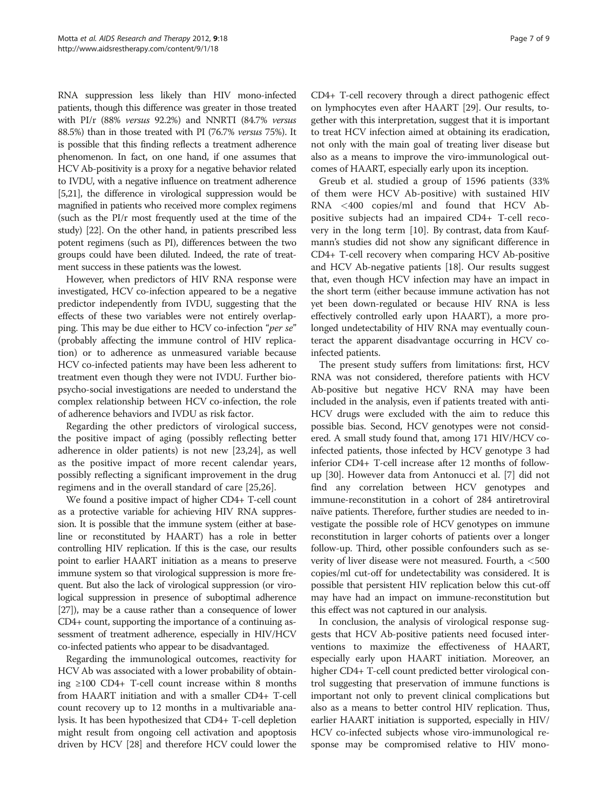RNA suppression less likely than HIV mono-infected patients, though this difference was greater in those treated with PI/r (88% versus 92.2%) and NNRTI (84.7% versus 88.5%) than in those treated with PI (76.7% versus 75%). It is possible that this finding reflects a treatment adherence phenomenon. In fact, on one hand, if one assumes that HCV Ab-positivity is a proxy for a negative behavior related to IVDU, with a negative influence on treatment adherence [[5](#page-7-0)[,21\]](#page-8-0), the difference in virological suppression would be magnified in patients who received more complex regimens (such as the PI/r most frequently used at the time of the study) [\[22\]](#page-8-0). On the other hand, in patients prescribed less potent regimens (such as PI), differences between the two groups could have been diluted. Indeed, the rate of treatment success in these patients was the lowest.

However, when predictors of HIV RNA response were investigated, HCV co-infection appeared to be a negative predictor independently from IVDU, suggesting that the effects of these two variables were not entirely overlapping. This may be due either to HCV co-infection "per se" (probably affecting the immune control of HIV replication) or to adherence as unmeasured variable because HCV co-infected patients may have been less adherent to treatment even though they were not IVDU. Further biopsycho-social investigations are needed to understand the complex relationship between HCV co-infection, the role of adherence behaviors and IVDU as risk factor.

Regarding the other predictors of virological success, the positive impact of aging (possibly reflecting better adherence in older patients) is not new [[23,24\]](#page-8-0), as well as the positive impact of more recent calendar years, possibly reflecting a significant improvement in the drug regimens and in the overall standard of care [[25,26](#page-8-0)].

We found a positive impact of higher CD4+ T-cell count as a protective variable for achieving HIV RNA suppression. It is possible that the immune system (either at baseline or reconstituted by HAART) has a role in better controlling HIV replication. If this is the case, our results point to earlier HAART initiation as a means to preserve immune system so that virological suppression is more frequent. But also the lack of virological suppression (or virological suppression in presence of suboptimal adherence [[27](#page-8-0)]), may be a cause rather than a consequence of lower CD4+ count, supporting the importance of a continuing assessment of treatment adherence, especially in HIV/HCV co-infected patients who appear to be disadvantaged.

Regarding the immunological outcomes, reactivity for HCV Ab was associated with a lower probability of obtaining ≥100 CD4+ T-cell count increase within 8 months from HAART initiation and with a smaller CD4+ T-cell count recovery up to 12 months in a multivariable analysis. It has been hypothesized that CD4+ T-cell depletion might result from ongoing cell activation and apoptosis driven by HCV [[28](#page-8-0)] and therefore HCV could lower the

CD4+ T-cell recovery through a direct pathogenic effect on lymphocytes even after HAART [\[29](#page-8-0)]. Our results, together with this interpretation, suggest that it is important to treat HCV infection aimed at obtaining its eradication, not only with the main goal of treating liver disease but also as a means to improve the viro-immunological outcomes of HAART, especially early upon its inception.

Greub et al. studied a group of 1596 patients (33% of them were HCV Ab-positive) with sustained HIV RNA <400 copies/ml and found that HCV Abpositive subjects had an impaired CD4+ T-cell recovery in the long term [[10\]](#page-7-0). By contrast, data from Kaufmann's studies did not show any significant difference in CD4+ T-cell recovery when comparing HCV Ab-positive and HCV Ab-negative patients [\[18\]](#page-7-0). Our results suggest that, even though HCV infection may have an impact in the short term (either because immune activation has not yet been down-regulated or because HIV RNA is less effectively controlled early upon HAART), a more prolonged undetectability of HIV RNA may eventually counteract the apparent disadvantage occurring in HCV coinfected patients.

The present study suffers from limitations: first, HCV RNA was not considered, therefore patients with HCV Ab-positive but negative HCV RNA may have been included in the analysis, even if patients treated with anti-HCV drugs were excluded with the aim to reduce this possible bias. Second, HCV genotypes were not considered. A small study found that, among 171 HIV/HCV coinfected patients, those infected by HCV genotype 3 had inferior CD4+ T-cell increase after 12 months of followup [\[30\]](#page-8-0). However data from Antonucci et al. [[7\]](#page-7-0) did not find any correlation between HCV genotypes and immune-reconstitution in a cohort of 284 antiretroviral naïve patients. Therefore, further studies are needed to investigate the possible role of HCV genotypes on immune reconstitution in larger cohorts of patients over a longer follow-up. Third, other possible confounders such as severity of liver disease were not measured. Fourth, a <500 copies/ml cut-off for undetectability was considered. It is possible that persistent HIV replication below this cut-off may have had an impact on immune-reconstitution but this effect was not captured in our analysis.

In conclusion, the analysis of virological response suggests that HCV Ab-positive patients need focused interventions to maximize the effectiveness of HAART, especially early upon HAART initiation. Moreover, an higher CD4+ T-cell count predicted better virological control suggesting that preservation of immune functions is important not only to prevent clinical complications but also as a means to better control HIV replication. Thus, earlier HAART initiation is supported, especially in HIV/ HCV co-infected subjects whose viro-immunological response may be compromised relative to HIV mono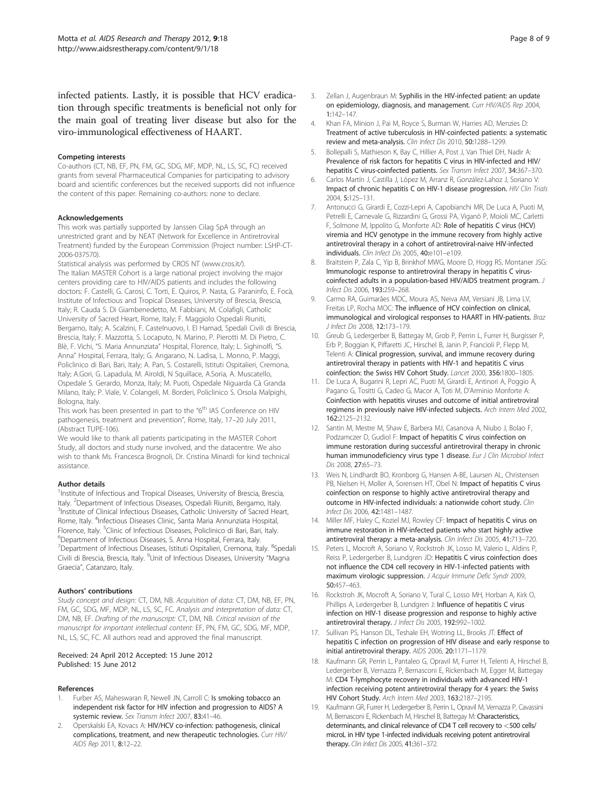<span id="page-7-0"></span>infected patients. Lastly, it is possible that HCV eradication through specific treatments is beneficial not only for the main goal of treating liver disease but also for the viro-immunological effectiveness of HAART.

#### Competing interests

Co-authors (CT, NB, EF, PN, FM, GC, SDG, MF, MDP, NL, LS, SC, FC) received grants from several Pharmaceutical Companies for participating to advisory board and scientific conferences but the received supports did not influence the content of this paper. Remaining co-authors: none to declare.

#### Acknowledgements

This work was partially supported by Janssen Cilag SpA through an unrestricted grant and by NEAT (Network for Excellence in Antiretroviral Treatment) funded by the European Commission (Project number: LSHP-CT-2006-037570).

Statistical analysis was performed by CROS NT (www.cros.it/). The Italian MASTER Cohort is a large national project involving the major centers providing care to HIV/AIDS patients and includes the following doctors: F. Castelli, G. Carosi, C. Torti, E. Quiros, P. Nasta, G. Paraninfo, E. Focà, Institute of Infectious and Tropical Diseases, University of Brescia, Brescia, Italy; R. Cauda S. Di Giambenedetto, M. Fabbiani, M. Colafigli, Catholic University of Sacred Heart, Rome, Italy; F. Maggiolo Ospedali Riuniti, Bergamo, Italy; A. Scalzini, F. Castelnuovo, I. El Hamad, Spedali Civili di Brescia, Brescia, Italy; F. Mazzotta, S. Locaputo, N. Marino, P. Pierotti M. Di Pietro, C. Blè, F. Vichi, "S. Maria Annunziata" Hospital, Florence, Italy; L. Sighinolfi, "S. Anna" Hospital, Ferrara, Italy; G. Angarano, N. Ladisa, L. Monno, P. Maggi, Policlinico di Bari, Bari, Italy; A. Pan, S. Costarelli, Istituti Ospitalieri, Cremona, Italy; A.Gori, G. Lapadula, M. Airoldi, N Squillace, A.Soria, A. Muscatello, Ospedale S. Gerardo, Monza, Italy; M. Puoti, Ospedale Niguarda Cà Granda Milano, Italy; P. Viale, V. Colangeli, M. Borderi, Policlinico S. Orsola Malpighi, Bologna, Italy.

This work has been presented in part to the "6<sup>th</sup> IAS Conference on HIV pathogenesis, treatment and prevention", Rome, Italy, 17–20 July 2011, (Abstract TUPE-106).

We would like to thank all patients participating in the MASTER Cohort Study, all doctors and study nurse involved, and the datacentre. We also wish to thank Ms. Francesca Brognoli, Dr. Cristina Minardi for kind technical assistance.

### Author details

<sup>1</sup>Institute of Infectious and Tropical Diseases, University of Brescia, Brescia, Italy. <sup>2</sup> Department of Infectious Diseases, Ospedali Riuniti, Bergamo, Italy.<br><sup>3</sup> Institute of Clinical Infectious Diseases, Catholic University of Sasred Hea <sup>3</sup>Institute of Clinical Infectious Diseases, Catholic University of Sacred Heart, Rome, Italy. <sup>4</sup>Infectious Diseases Clinic, Santa Maria Annunziata Hospital, Florence, Italy. <sup>5</sup>Clinic of Infectious Diseases, Policlinico di Bari, Bari, Italy.<br><sup>6</sup>Department of Infectious Diseases, S. Anna Hernital Ferrara, Italy. <sup>6</sup>Department of Infectious Diseases, S. Anna Hospital, Ferrara, Italy. <sup>7</sup> Department of Infectious Diseases, Istituti Ospitalieri, Cremona, Italy. <sup>8</sup>Spedali Civili di Brescia, Brescia, Italy. <sup>9</sup>Unit of Infectious Diseases, University "Magna Graecia", Catanzaro, Italy.

#### Authors' contributions

Study concept and design: CT, DM, NB. Acquisition of data: CT, DM, NB, EF, PN, FM, GC, SDG, MF, MDP, NL, LS, SC, FC. Analysis and interpretation of data: CT, DM, NB, EF. Drafting of the manuscript: CT, DM, NB. Critical revision of the manuscript for important intellectual content: EF, PN, FM, GC, SDG, MF, MDP, NL, LS, SC, FC. All authors read and approved the final manuscript.

#### Received: 24 April 2012 Accepted: 15 June 2012 Published: 15 June 2012

#### References

- 1. Furber AS, Maheswaran R, Newell JN, Carroll C: Is smoking tobacco an independent risk factor for HIV infection and progression to AIDS? A systemic review. Sex Transm Infect 2007, 83:41–46.
- 2. Operskalski EA, Kovacs A: HIV/HCV co-infection: pathogenesis, clinical complications, treatment, and new therapeutic technologies. Curr HIV/ AIDS Rep 2011, 8:12–22.
- Zellan J, Augenbraun M: Syphilis in the HIV-infected patient: an update on epidemiology, diagnosis, and management. Curr HIV/AIDS Rep 2004, 1:142–147.
- 4. Khan FA, Minion J, Pai M, Royce S, Burman W, Harries AD, Menzies D: Treatment of active tuberculosis in HIV-coinfected patients: a systematic review and meta-analysis. Clin Infect Dis 2010, 50:1288–1299.
- 5. Bollepalli S, Mathieson K, Bay C, Hillier A, Post J, Van Thiel DH, Nadir A: Prevalence of risk factors for hepatitis C virus in HIV-infected and HIV/ hepatitis C virus-coinfected patients. Sex Transm Infect 2007, 34:367–370.
- 6. Carlos Martín J, Castilla J, López M, Arranz R, González-Lahoz J, Soriano V: Impact of chronic hepatitis C on HIV-1 disease progression. HIV Clin Trials 2004, 5:125–131.
- 7. Antonucci G, Girardi E, Cozzi-Lepri A, Capobianchi MR, De Luca A, Puoti M, Petrelli E, Carnevale G, Rizzardini G, Grossi PA, Viganò P, Moioli MC, Carletti F, Solmone M, Ippolito G, Monforte AD: Role of hepatitis C virus (HCV) viremia and HCV genotype in the immune recovery from highly active antiretroviral therapy in a cohort of antiretroviral-naive HIV-infected individuals. Clin Infect Dis 2005, 40:e101–e109.
- 8. Braitstein P, Zala C, Yip B, Brinkhof MWG, Moore D, Hogg RS, Montaner JSG: Immunologic response to antiretroviral therapy in hepatitis C viruscoinfected adults in a population-based HIV/AIDS treatment program. J Infect Dis 2006, 193:259–268.
- Carmo RA, Guimarães MDC, Moura AS, Neiva AM, Versiani JB, Lima LV, Freitas LP, Rocha MOC: The influence of HCV coinfection on clinical, immunological and virological responses to HAART in HIV-patients. Braz J Infect Dis 2008, 12:173–179.
- 10. Greub G, Ledergerber B, Battegay M, Grob P, Perrin L, Furrer H, Burgisser P, Erb P, Boggian K, Piffaretti JC, Hirschel B, Janin P, Francioli P, Flepp M, Telenti A: Clinical progression, survival, and immune recovery during antiretroviral therapy in patients with HIV-1 and hepatitis C virus coinfection: the Swiss HIV Cohort Study. Lancet 2000, 356:1800–1805.
- 11. De Luca A, Bugarini R, Lepri AC, Puoti M, Girardi E, Antinori A, Poggio A, Pagano G, Tositti G, Cadeo G, Macor A, Toti M, D'Arminio Monforte A: Coinfection with hepatitis viruses and outcome of initial antiretroviral regimens in previously naive HIV-infected subjects. Arch Intern Med 2002, 162:2125–2132.
- 12. Santin M, Mestre M, Shaw E, Barbera MJ, Casanova A, Niubo J, Bolao F, Podzamczer D, Gudiol F: Impact of hepatitis C virus coinfection on immune restoration during successful antiretroviral therapy in chronic human immunodeficiency virus type 1 disease. Eur J Clin Microbiol Infect Dis 2008, 27:65–73.
- 13. Weis N, Lindhardt BO, Kronborg G, Hansen A-BE, Laursen AL, Christensen PB, Nielsen H, Moller A, Sorensen HT, Obel N: Impact of hepatitis C virus coinfection on response to highly active antiretroviral therapy and outcome in HIV-infected individuals: a nationwide cohort study. Clin Infect Dis 2006, 42:1481–1487.
- 14. Miller MF, Haley C, Koziel MJ, Rowley CF: Impact of hepatitis C virus on immune restoration in HIV-infected patients who start highly active antiretroviral therapy: a meta-analysis. Clin Infect Dis 2005, 41:713-720.
- 15. Peters L, Mocroft A, Soriano V, Rockstroh JK, Losso M, Valerio L, Aldins P, Reiss P, Ledergerber B, Lundgren JD: Hepatitis C virus coinfection does not influence the CD4 cell recovery in HIV-1-infected patients with maximum virologic suppression. J Acquir Immune Defic Syndr 2009, 50:457–463.
- 16. Rockstroh JK, Mocroft A, Soriano V, Tural C, Losso MH, Horban A, Kirk O, Phillips A, Ledergerber B, Lundgren J: Influence of hepatitis C virus infection on HIV-1 disease progression and response to highly active antiretroviral therapy. J Infect Dis 2005, 192:992–1002.
- 17. Sullivan PS, Hanson DL, Teshale EH, Wotring LL, Brooks JT: Effect of hepatitis C infection on progression of HIV disease and early response to initial antiretroviral therapy. AIDS 2006, 20:1171–1179.
- 18. Kaufmann GR, Perrin L, Pantaleo G, Opravil M, Furrer H, Telenti A, Hirschel B, Ledergerber B, Vernazza P, Bernasconi E, Rickenbach M, Egger M, Battegay M: CD4 T-lymphocyte recovery in individuals with advanced HIV-1 infection receiving potent antiretroviral therapy for 4 years: the Swiss HIV Cohort Study. Arch Intern Med 2003, 163:2187–2195.
- 19. Kaufmann GR, Furrer H, Ledergerber B, Perrin L, Opravil M, Vernazza P, Cavassini M, Bernasconi E, Rickenbach M, Hirschel B, Battegay M: Characteristics, determinants, and clinical relevance of CD4 T cell recovery to <500 cells/ microL in HIV type 1-infected individuals receiving potent antiretroviral therapy. Clin Infect Dis 2005, 41:361-372.